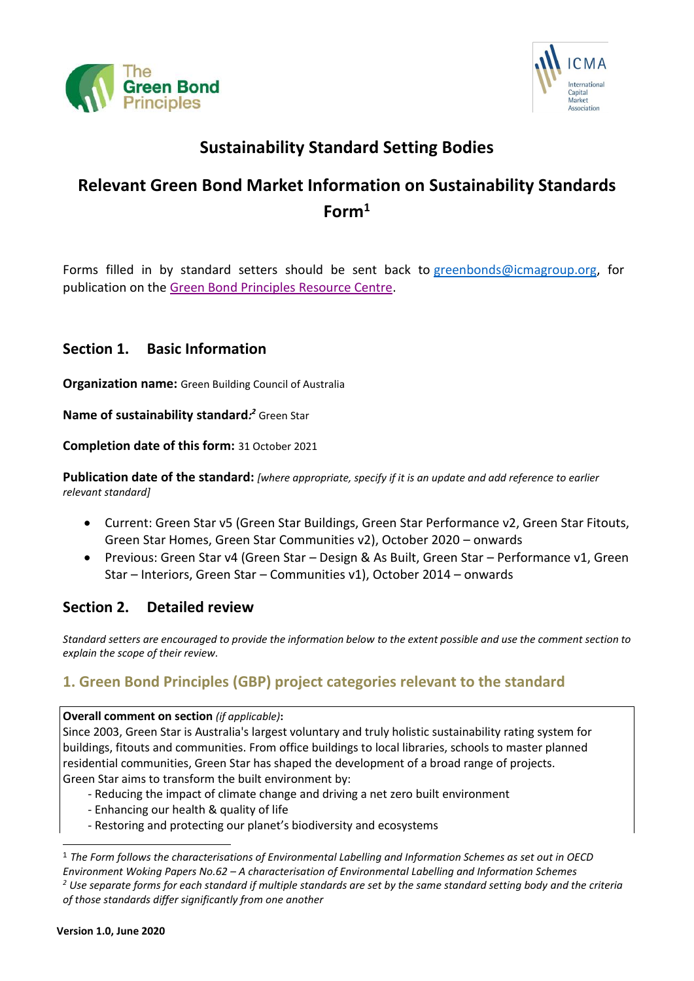



# **Sustainability Standard Setting Bodies**

# **Relevant Green Bond Market Information on Sustainability Standards Form<sup>1</sup>**

Forms filled in by standard setters should be sent back to [greenbonds@icmagroup.org,](mailto:greenbonds@icmagroup.org) for publication on th[e Green Bond Principles Resource Centre.](https://www.icmagroup.org/green-social-and-sustainability-bonds/resource-centre/)

## **Section 1. Basic Information**

**Organization name:** Green Building Council of Australia

**Name of sustainability standard***: <sup>2</sup>* Green Star

**Completion date of this form:** 31 October 2021

**Publication date of the standard:** *[where appropriate, specify if it is an update and add reference to earlier relevant standard]*

- Current: Green Star v5 (Green Star Buildings, Green Star Performance v2, Green Star Fitouts, Green Star Homes, Green Star Communities v2), October 2020 – onwards
- Previous: Green Star v4 (Green Star Design & As Built, Green Star Performance v1, Green Star – Interiors, Green Star – Communities v1), October 2014 – onwards

## **Section 2. Detailed review**

*Standard setters are encouraged to provide the information below to the extent possible and use the comment section to explain the scope of their review.*

# **1. Green Bond Principles (GBP) project categories relevant to the standard**

**Overall comment on section** *(if applicable)***:**

Since 2003, Green Star is Australia's largest voluntary and truly holistic sustainability rating system for buildings, fitouts and communities. From office buildings to local libraries, schools to master planned residential communities, Green Star has shaped the development of a broad range of projects. Green Star aims to transform the built environment by:

- Reducing the impact of climate change and driving a net zero built environment
- Enhancing our health & quality of life
- Restoring and protecting our planet's biodiversity and ecosystems

<sup>1</sup> *The Form follows the characterisations of Environmental Labelling and Information Schemes as set out in OECD Environment Woking Papers No.62 – A characterisation of Environmental Labelling and Information Schemes*

*<sup>2</sup> Use separate forms for each standard if multiple standards are set by the same standard setting body and the criteria of those standards differ significantly from one another*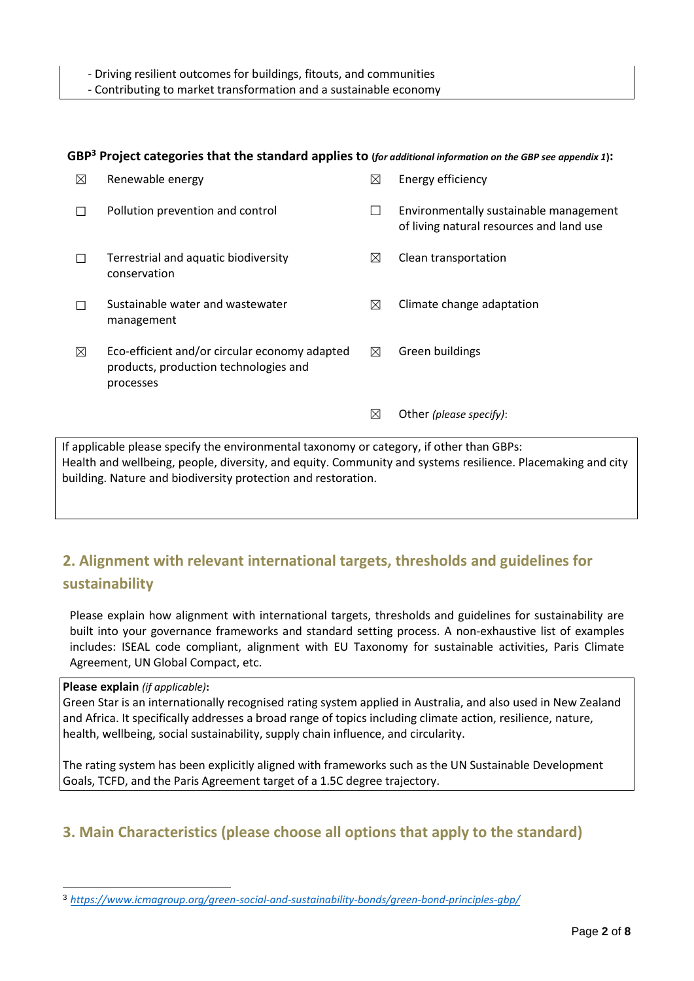- Contributing to market transformation and a sustainable economy

#### **GBP<sup>3</sup> Project categories that the standard applies to (***for additional information on the GBP see appendix 1***):**

| ⊠                                                                                     | Renewable energy                                                                                    | $\bowtie$   | Energy efficiency                                                                  |
|---------------------------------------------------------------------------------------|-----------------------------------------------------------------------------------------------------|-------------|------------------------------------------------------------------------------------|
| $\Box$                                                                                | Pollution prevention and control                                                                    |             | Environmentally sustainable management<br>of living natural resources and land use |
|                                                                                       | Terrestrial and aquatic biodiversity<br>conservation                                                | $\boxtimes$ | Clean transportation                                                               |
|                                                                                       | Sustainable water and wastewater<br>management                                                      | $\boxtimes$ | Climate change adaptation                                                          |
| ⊠                                                                                     | Eco-efficient and/or circular economy adapted<br>products, production technologies and<br>processes | ⊠           | Green buildings                                                                    |
|                                                                                       |                                                                                                     | $\bowtie$   | Other (please specify):                                                            |
| applicable please specify the environmental taxonomy or category, if other than GBPs: |                                                                                                     |             |                                                                                    |

If applicable please specify the environmental taxonomy or category, if other than GBPs: Health and wellbeing, people, diversity, and equity. Community and systems resilience. Placemaking and city building. Nature and biodiversity protection and restoration.

# **2. Alignment with relevant international targets, thresholds and guidelines for sustainability**

Please explain how alignment with international targets, thresholds and guidelines for sustainability are built into your governance frameworks and standard setting process. A non-exhaustive list of examples includes: ISEAL code compliant, alignment with EU Taxonomy for sustainable activities, Paris Climate Agreement, UN Global Compact, etc.

#### **Please explain** *(if applicable)***:**

Green Star is an internationally recognised rating system applied in Australia, and also used in New Zealand and Africa. It specifically addresses a broad range of topics including climate action, resilience, nature, health, wellbeing, social sustainability, supply chain influence, and circularity.

The rating system has been explicitly aligned with frameworks such as the UN Sustainable Development Goals, TCFD, and the Paris Agreement target of a 1.5C degree trajectory.

# **3. Main Characteristics (please choose all options that apply to the standard)**

<sup>3</sup> *<https://www.icmagroup.org/green-social-and-sustainability-bonds/green-bond-principles-gbp/>*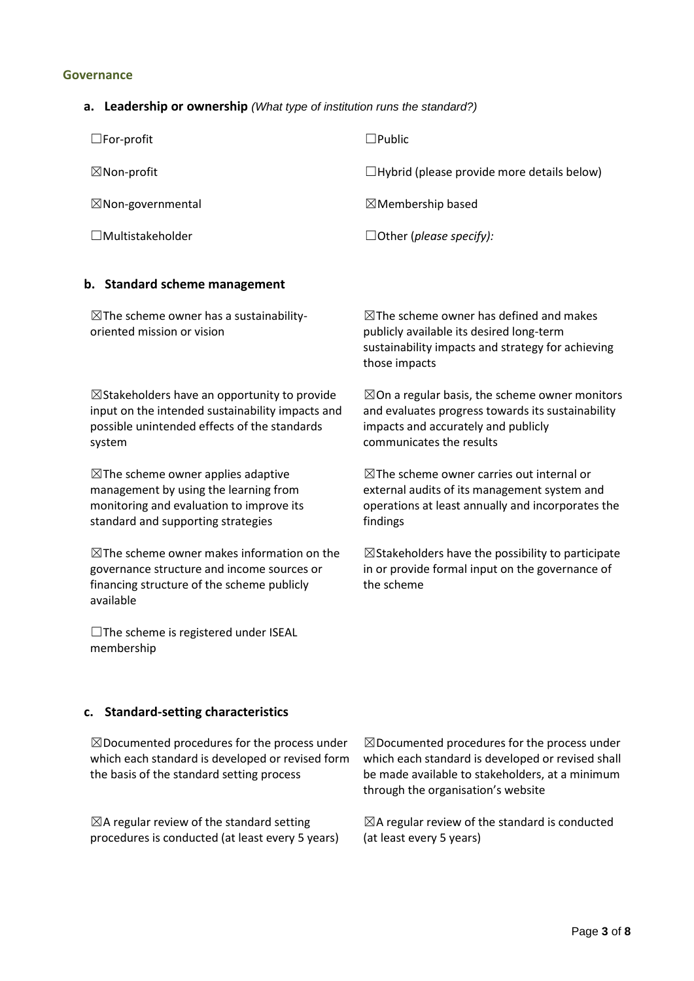#### **Governance**

### **a. Leadership or ownership** *(What type of institution runs the standard?)*

| $\square$ For-profit         | $\Box$ Public                                     |
|------------------------------|---------------------------------------------------|
| $\boxtimes$ Non-profit       | $\Box$ Hybrid (please provide more details below) |
| $\boxtimes$ Non-governmental | $\boxtimes$ Membership based                      |
| $\Box$ Multistakeholder      | $\Box$ Other (please specify):                    |

### **b. Standard scheme management**

| $\boxtimes$ The scheme owner has a sustainability-<br>oriented mission or vision                                                                               | $\boxtimes$ The scheme owner has defined and makes<br>publicly available its desired long-term<br>sustainability impacts and strategy for achieving<br>those impacts |
|----------------------------------------------------------------------------------------------------------------------------------------------------------------|----------------------------------------------------------------------------------------------------------------------------------------------------------------------|
| $\boxtimes$ Stakeholders have an opportunity to provide                                                                                                        | $\boxtimes$ On a regular basis, the scheme owner monitors                                                                                                            |
| input on the intended sustainability impacts and                                                                                                               | and evaluates progress towards its sustainability                                                                                                                    |
| possible unintended effects of the standards                                                                                                                   | impacts and accurately and publicly                                                                                                                                  |
| system                                                                                                                                                         | communicates the results                                                                                                                                             |
| $\boxtimes$ The scheme owner applies adaptive                                                                                                                  | $\boxtimes$ The scheme owner carries out internal or                                                                                                                 |
| management by using the learning from                                                                                                                          | external audits of its management system and                                                                                                                         |
| monitoring and evaluation to improve its                                                                                                                       | operations at least annually and incorporates the                                                                                                                    |
| standard and supporting strategies                                                                                                                             | findings                                                                                                                                                             |
| $\boxtimes$ The scheme owner makes information on the<br>governance structure and income sources or<br>financing structure of the scheme publicly<br>available | $\boxtimes$ Stakeholders have the possibility to participate<br>in or provide formal input on the governance of<br>the scheme                                        |

**c. Standard-setting characteristics**

☐The scheme is registered under ISEAL

membership

| $\boxtimes$ Documented procedures for the process under<br>which each standard is developed or revised form<br>the basis of the standard setting process | $\boxtimes$ Documented procedures for the process under<br>which each standard is developed or revised shall<br>be made available to stakeholders, at a minimum<br>through the organisation's website |
|----------------------------------------------------------------------------------------------------------------------------------------------------------|-------------------------------------------------------------------------------------------------------------------------------------------------------------------------------------------------------|
| $\boxtimes$ A regular review of the standard setting                                                                                                     | $\boxtimes$ A regular review of the standard is conducted                                                                                                                                             |
| procedures is conducted (at least every 5 years)                                                                                                         | (at least every 5 years)                                                                                                                                                                              |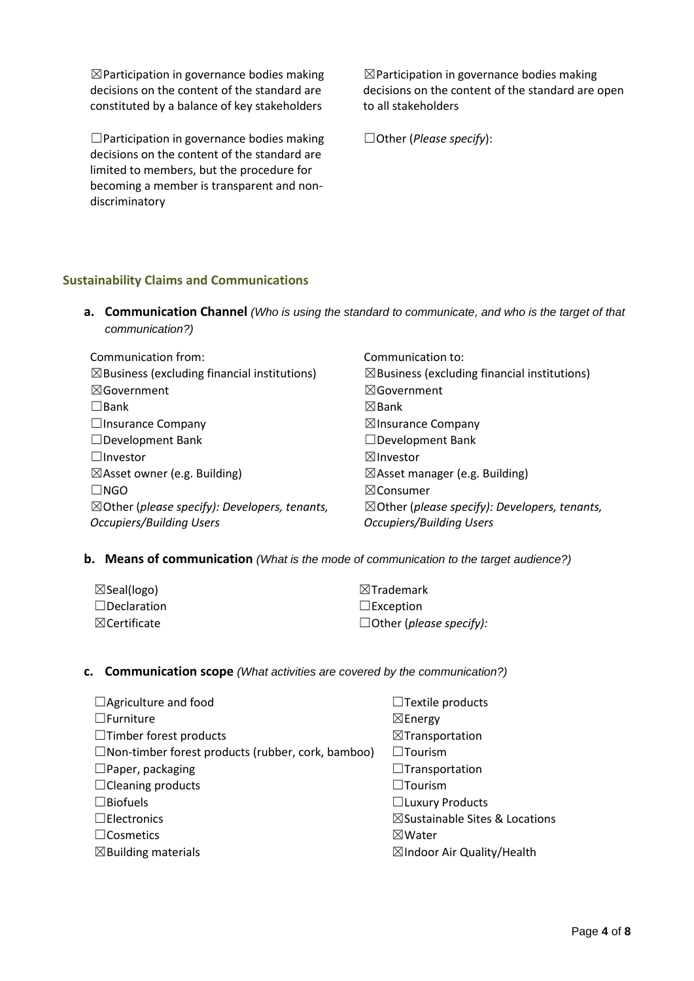$\boxtimes$  Participation in governance bodies making decisions on the content of the standard are constituted by a balance of key stakeholders

☐Participation in governance bodies making decisions on the content of the standard are limited to members, but the procedure for becoming a member is transparent and nondiscriminatory

 $\boxtimes$  Participation in governance bodies making decisions on the content of the standard are open to all stakeholders

☐Other (*Please specify*):

### **Sustainability Claims and Communications**

**a. Communication Channel** *(Who is using the standard to communicate, and who is the target of that communication?)*

| Communication from:                                      | Communication to:                                        |
|----------------------------------------------------------|----------------------------------------------------------|
| $\boxtimes$ Business (excluding financial institutions)  | $\boxtimes$ Business (excluding financial institutions)  |
| $\boxtimes$ Government                                   | $\boxtimes$ Government                                   |
| $\square$ Bank                                           | $\boxtimes$ Bank                                         |
| $\Box$ Insurance Company                                 | $\boxtimes$ Insurance Company                            |
| $\Box$ Development Bank                                  | $\Box$ Development Bank                                  |
| $\Box$ Investor                                          | $\boxtimes$ Investor                                     |
| $\boxtimes$ Asset owner (e.g. Building)                  | $\boxtimes$ Asset manager (e.g. Building)                |
| $\Box$ NGO                                               | $\boxtimes$ Consumer                                     |
| $\boxtimes$ Other (please specify): Developers, tenants, | $\boxtimes$ Other (please specify): Developers, tenants, |
| <b>Occupiers/Building Users</b>                          | <b>Occupiers/Building Users</b>                          |

**b. Means of communication** *(What is the mode of communication to the target audience?)*

| $\boxtimes$ Seal(logo)  | $\boxtimes$ Trademark          |
|-------------------------|--------------------------------|
| $\Box$ Declaration      | $\Box$ Exception               |
| $\boxtimes$ Certificate | $\Box$ Other (please specify): |

#### **c. Communication scope** *(What activities are covered by the communication?)*

| $\Box$ Textile products                   |
|-------------------------------------------|
| $\boxtimes$ Energy                        |
| $\boxtimes$ Transportation                |
| $\square$ Tourism                         |
| $\Box$ Transportation                     |
| $\Box$ Tourism                            |
| $\Box$ Luxury Products                    |
| $\boxtimes$ Sustainable Sites & Locations |
| $\boxtimes$ Water                         |
| $\boxtimes$ Indoor Air Quality/Health     |
|                                           |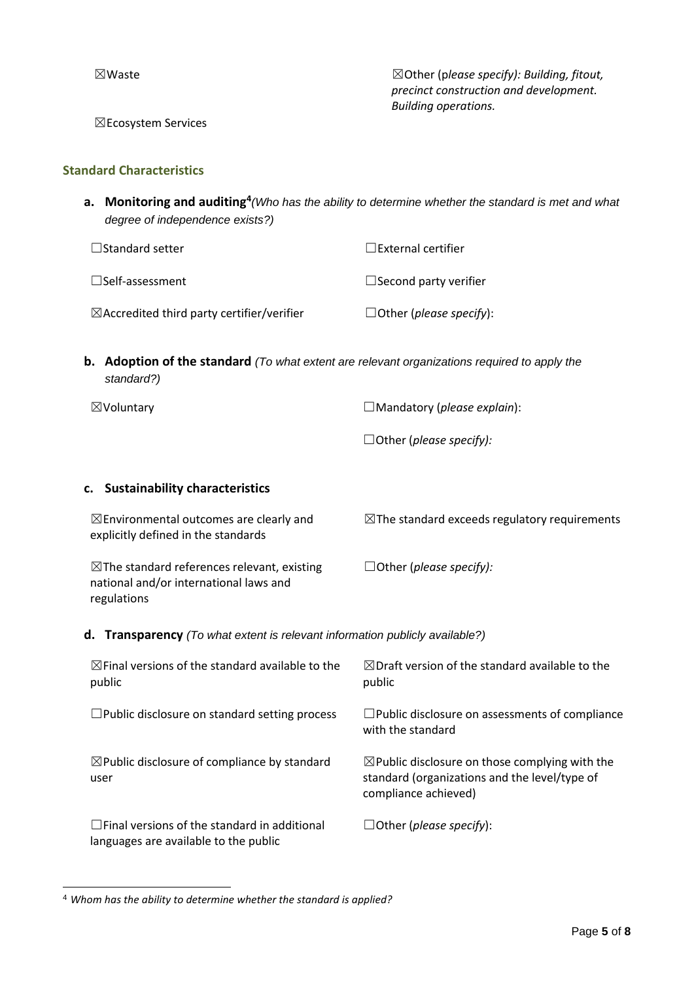☒Waste ☒Other (p*lease specify): Building, fitout, precinct construction and development. Building operations.*

☒Ecosystem Services

#### **Standard Characteristics**

**a. Monitoring and auditing<sup>4</sup>** *(Who has the ability to determine whether the standard is met and what degree of independence exists?)*

| $\Box$ Standard setter                                | $\Box$ External certifier      |
|-------------------------------------------------------|--------------------------------|
| $\square$ Self-assessment                             | $\Box$ Second party verifier   |
| $\boxtimes$ Accredited third party certifier/verifier | $\Box$ Other (please specify): |

**b. Adoption of the standard** *(To what extent are relevant organizations required to apply the standard?)*

☒Voluntary ☐Mandatory (*please explain*):

☐Other (*please specify):*

#### **c. Sustainability characteristics**

| $\boxtimes$ Environmental outcomes are clearly and<br>explicitly defined in the standards                       | $\boxtimes$ The standard exceeds regulatory requirements |
|-----------------------------------------------------------------------------------------------------------------|----------------------------------------------------------|
| $\boxtimes$ The standard references relevant, existing<br>national and/or international laws and<br>regulations | $\Box$ Other (please specify):                           |

**d. Transparency** *(To what extent is relevant information publicly available?)*

| $\boxtimes$ Final versions of the standard available to the<br>public                        | $\boxtimes$ Draft version of the standard available to the<br>public                                                               |
|----------------------------------------------------------------------------------------------|------------------------------------------------------------------------------------------------------------------------------------|
| $\Box$ Public disclosure on standard setting process                                         | $\Box$ Public disclosure on assessments of compliance<br>with the standard                                                         |
| $\boxtimes$ Public disclosure of compliance by standard<br>user                              | $\boxtimes$ Public disclosure on those complying with the<br>standard (organizations and the level/type of<br>compliance achieved) |
| $\Box$ Final versions of the standard in additional<br>languages are available to the public | $\Box$ Other (please specify):                                                                                                     |

<sup>4</sup> *Whom has the ability to determine whether the standard is applied?*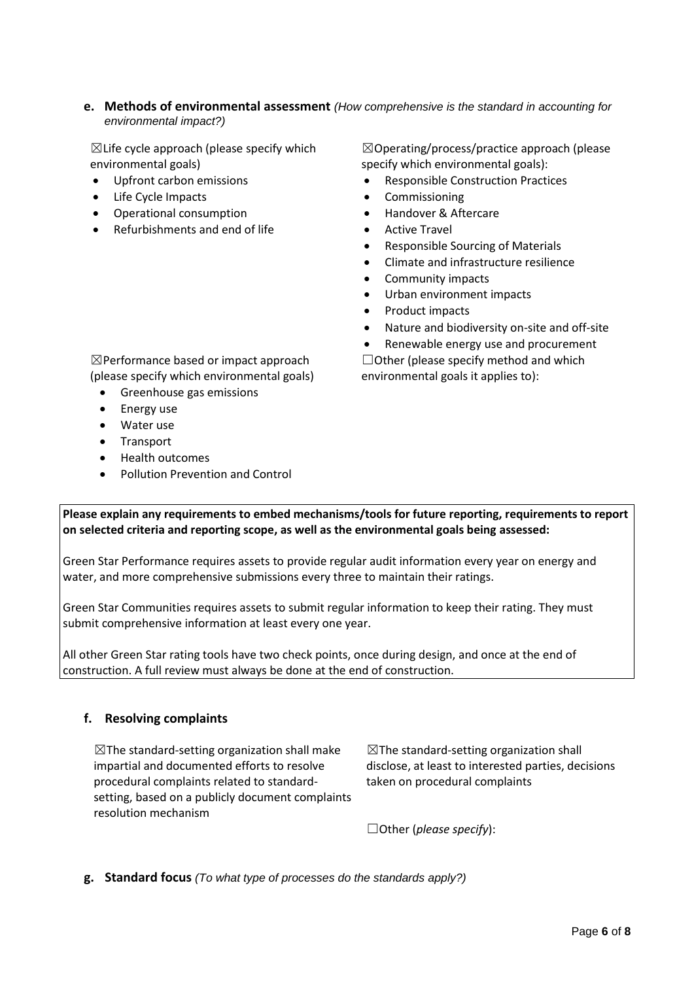#### **e. Methods of environmental assessment** *(How comprehensive is the standard in accounting for environmental impact?)*

 $\boxtimes$ Life cycle approach (please specify which environmental goals)

- Upfront carbon emissions
- Life Cycle Impacts
- Operational consumption
- Refurbishments and end of life

☒Operating/process/practice approach (please specify which environmental goals):

- Responsible Construction Practices
- **Commissioning**
- Handover & Aftercare
- Active Travel
- Responsible Sourcing of Materials
- Climate and infrastructure resilience
- Community impacts
- Urban environment impacts
- Product impacts
- Nature and biodiversity on-site and off-site
- Renewable energy use and procurement

 $\Box$  Other (please specify method and which environmental goals it applies to):

☒Performance based or impact approach (please specify which environmental goals)

- Greenhouse gas emissions
- Energy use
- Water use
- Transport
- Health outcomes
- Pollution Prevention and Control

**Please explain any requirements to embed mechanisms/tools for future reporting, requirements to report on selected criteria and reporting scope, as well as the environmental goals being assessed:**

Green Star Performance requires assets to provide regular audit information every year on energy and water, and more comprehensive submissions every three to maintain their ratings.

Green Star Communities requires assets to submit regular information to keep their rating. They must submit comprehensive information at least every one year.

All other Green Star rating tools have two check points, once during design, and once at the end of construction. A full review must always be done at the end of construction.

### **f. Resolving complaints**

 $\boxtimes$ The standard-setting organization shall make impartial and documented efforts to resolve procedural complaints related to standardsetting, based on a publicly document complaints resolution mechanism

 $\boxtimes$ The standard-setting organization shall disclose, at least to interested parties, decisions taken on procedural complaints

☐Other (*please specify*):

**g. Standard focus** *(To what type of processes do the standards apply?)*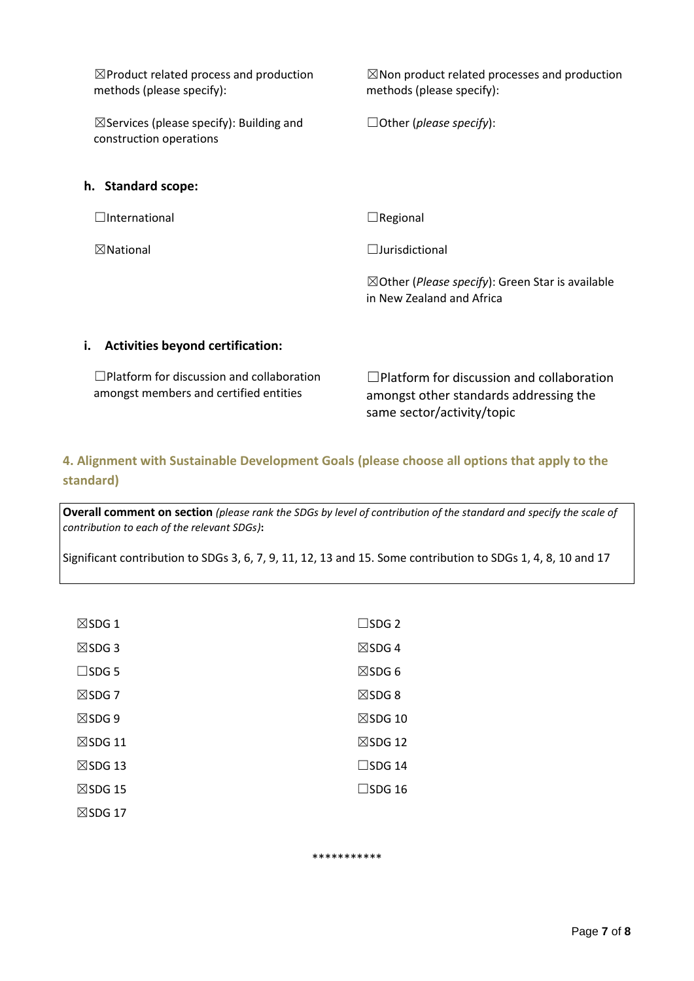| $\boxtimes$ Product related process and production<br>methods (please specify):            | $\boxtimes$ Non product related processes and production<br>methods (please specify):             |
|--------------------------------------------------------------------------------------------|---------------------------------------------------------------------------------------------------|
| $\boxtimes$ Services (please specify): Building and<br>construction operations             | $\Box$ Other (please specify):                                                                    |
| h. Standard scope:                                                                         |                                                                                                   |
| $\Box$ International                                                                       | $\Box$ Regional                                                                                   |
| $\boxtimes$ National                                                                       | $\Box$ Jurisdictional                                                                             |
|                                                                                            | $\boxtimes$ Other ( <i>Please specify</i> ): Green Star is available<br>in New Zealand and Africa |
| i.<br><b>Activities beyond certification:</b>                                              |                                                                                                   |
| $\Box$ Platform for discussion and collaboration<br>amongst members and certified entities | $\Box$ Platform for discussion and collaboration<br>amongst other standards addressing the        |

**4. Alignment with Sustainable Development Goals (please choose all options that apply to the standard)**

same sector/activity/topic

**Overall comment on section** *(please rank the SDGs by level of contribution of the standard and specify the scale of contribution to each of the relevant SDGs)***:**

Significant contribution to SDGs 3, 6, 7, 9, 11, 12, 13 and 15. Some contribution to SDGs 1, 4, 8, 10 and 17

| $\boxtimes$ SDG 1  | $\square$ SDG 2    |
|--------------------|--------------------|
| $\boxtimes$ SDG 3  | $\boxtimes$ SDG4   |
| $\square$ SDG 5    | $\boxtimes$ SDG 6  |
| $\boxtimes$ SDG 7  | $\boxtimes$ SDG 8  |
| $\boxtimes$ SDG 9  | $\boxtimes$ SDG 10 |
| $\boxtimes$ SDG 11 | $\boxtimes$ SDG 12 |
| $\boxtimes$ SDG 13 | $\square$ SDG 14   |
| $\boxtimes$ SDG 15 | $\square$ SDG 16   |
| $\boxtimes$ SDG 17 |                    |

\*\*\*\*\*\*\*\*\*\*\*